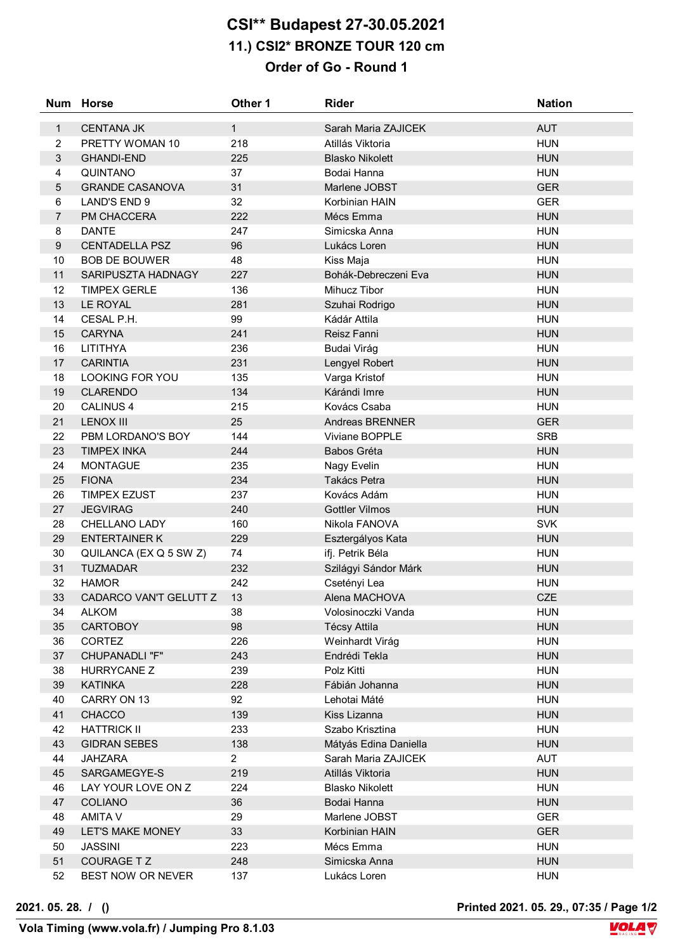## **CSI\*\* Budapest 27-30.05.2021 11.) CSI2\* BRONZE TOUR 120 cm Order of Go - Round 1**

|                  | Num Horse              | Other 1        | <b>Rider</b>           | <b>Nation</b> |
|------------------|------------------------|----------------|------------------------|---------------|
| $\mathbf{1}$     | <b>CENTANA JK</b>      | $\mathbf{1}$   | Sarah Maria ZAJICEK    | <b>AUT</b>    |
| $\overline{2}$   | PRETTY WOMAN 10        | 218            | Atillás Viktoria       | <b>HUN</b>    |
| 3                | <b>GHANDI-END</b>      | 225            | <b>Blasko Nikolett</b> | <b>HUN</b>    |
| 4                | QUINTANO               | 37             | Bodai Hanna            | <b>HUN</b>    |
| 5                | <b>GRANDE CASANOVA</b> | 31             | Marlene JOBST          | <b>GER</b>    |
| 6                | <b>LAND'S END 9</b>    | 32             | Korbinian HAIN         | <b>GER</b>    |
| $\overline{7}$   | PM CHACCERA            | 222            | Mécs Emma              | <b>HUN</b>    |
| 8                | <b>DANTE</b>           | 247            | Simicska Anna          | <b>HUN</b>    |
| $\boldsymbol{9}$ | <b>CENTADELLA PSZ</b>  | 96             | Lukács Loren           | <b>HUN</b>    |
| 10               | <b>BOB DE BOUWER</b>   | 48             | Kiss Maja              | <b>HUN</b>    |
| 11               | SARIPUSZTA HADNAGY     | 227            | Bohák-Debreczeni Eva   | <b>HUN</b>    |
| 12               | <b>TIMPEX GERLE</b>    | 136            | Mihucz Tibor           | <b>HUN</b>    |
| 13               | LE ROYAL               | 281            | Szuhai Rodrigo         | <b>HUN</b>    |
| 14               | CESAL P.H.             | 99             | Kádár Attila           | <b>HUN</b>    |
| 15               | <b>CARYNA</b>          | 241            | Reisz Fanni            | <b>HUN</b>    |
| 16               | LITITHYA               | 236            | Budai Virág            | <b>HUN</b>    |
| 17               | <b>CARINTIA</b>        | 231            | Lengyel Robert         | <b>HUN</b>    |
| 18               | <b>LOOKING FOR YOU</b> | 135            | Varga Kristof          | <b>HUN</b>    |
| 19               | <b>CLARENDO</b>        | 134            | Kárándi Imre           | <b>HUN</b>    |
| 20               | <b>CALINUS 4</b>       | 215            | Kovács Csaba           | <b>HUN</b>    |
| 21               | <b>LENOX III</b>       | 25             | Andreas BRENNER        | <b>GER</b>    |
| 22               | PBM LORDANO'S BOY      | 144            | Viviane BOPPLE         | <b>SRB</b>    |
| 23               | <b>TIMPEX INKA</b>     | 244            | Babos Gréta            | <b>HUN</b>    |
| 24               | <b>MONTAGUE</b>        | 235            | Nagy Evelin            | <b>HUN</b>    |
| 25               | <b>FIONA</b>           | 234            | Takács Petra           | <b>HUN</b>    |
| 26               | <b>TIMPEX EZUST</b>    | 237            | Kovács Adám            | <b>HUN</b>    |
| 27               | <b>JEGVIRAG</b>        | 240            | <b>Gottler Vilmos</b>  | <b>HUN</b>    |
| 28               | CHELLANO LADY          | 160            | Nikola FANOVA          | <b>SVK</b>    |
| 29               | <b>ENTERTAINER K</b>   | 229            | Esztergályos Kata      | <b>HUN</b>    |
| 30               | QUILANCA (EX Q 5 SW Z) | 74             | ifj. Petrik Béla       | <b>HUN</b>    |
| 31               | <b>TUZMADAR</b>        | 232            | Szilágyi Sándor Márk   | <b>HUN</b>    |
| 32               | <b>HAMOR</b>           | 242            | Csetényi Lea           | <b>HUN</b>    |
| 33               | CADARCO VAN'T GELUTT Z | 13             | Alena MACHOVA          | <b>CZE</b>    |
| 34               | <b>ALKOM</b>           | 38             | Volosinoczki Vanda     | <b>HUN</b>    |
| 35               | <b>CARTOBOY</b>        | 98             | <b>Técsy Attila</b>    | <b>HUN</b>    |
| 36               | <b>CORTEZ</b>          | 226            | Weinhardt Virág        | <b>HUN</b>    |
| 37               | CHUPANADLI "F"         | 243            | Endrédi Tekla          | <b>HUN</b>    |
| 38               | <b>HURRYCANE Z</b>     | 239            | Polz Kitti             | <b>HUN</b>    |
| 39               | <b>KATINKA</b>         | 228            | Fábián Johanna         | <b>HUN</b>    |
| 40               | CARRY ON 13            | 92             | Lehotai Máté           | <b>HUN</b>    |
| 41               | CHACCO                 | 139            | Kiss Lizanna           | <b>HUN</b>    |
| 42               | <b>HATTRICK II</b>     | 233            | Szabo Krisztina        | <b>HUN</b>    |
| 43               | <b>GIDRAN SEBES</b>    | 138            | Mátyás Edina Daniella  | <b>HUN</b>    |
| 44               | <b>JAHZARA</b>         | $\overline{a}$ | Sarah Maria ZAJICEK    | <b>AUT</b>    |
| 45               | SARGAMEGYE-S           | 219            | Atillás Viktoria       | <b>HUN</b>    |
| 46               | LAY YOUR LOVE ON Z     | 224            | <b>Blasko Nikolett</b> | <b>HUN</b>    |
| 47               | <b>COLIANO</b>         | 36             | Bodai Hanna            | <b>HUN</b>    |
| 48               | AMITA V                | 29             | Marlene JOBST          | <b>GER</b>    |
| 49               | LET'S MAKE MONEY       | 33             | Korbinian HAIN         | <b>GER</b>    |
| 50               | <b>JASSINI</b>         | 223            | Mécs Emma              | <b>HUN</b>    |
| 51               | <b>COURAGE TZ</b>      | 248            | Simicska Anna          | <b>HUN</b>    |
| 52               | BEST NOW OR NEVER      | 137            | Lukács Loren           | <b>HUN</b>    |

**2021. 05. 28. / () Printed 2021. 05. 29., 07:35 / Page 1/2**